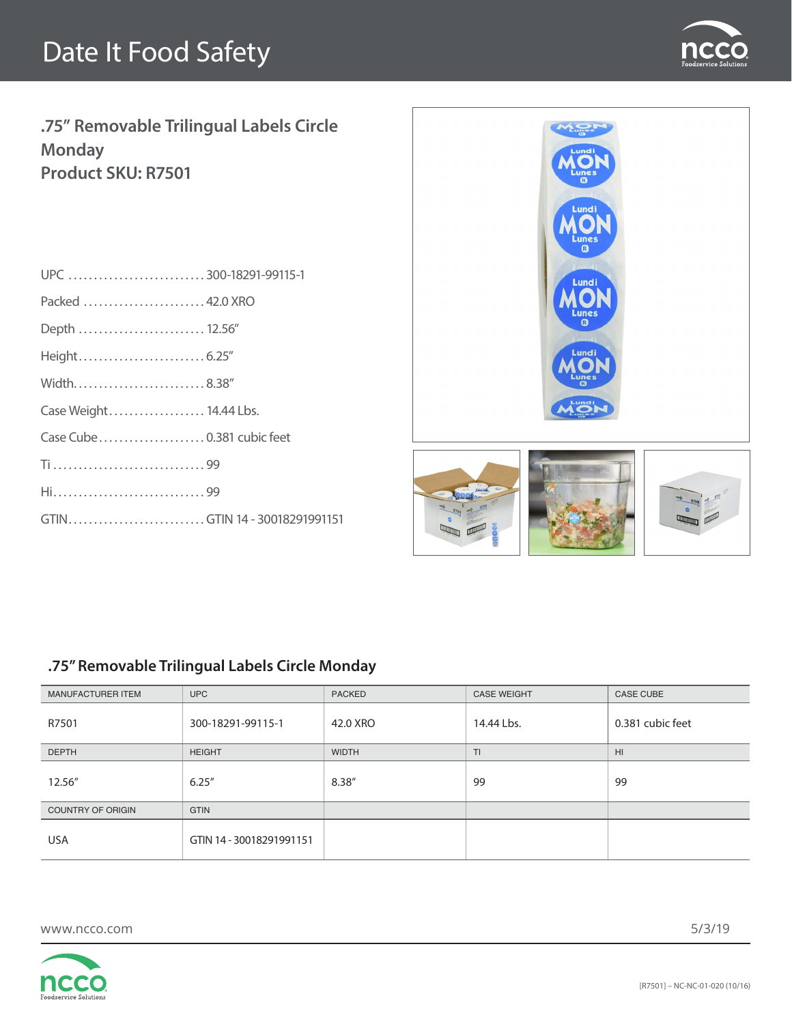

**.75" Removable Trilingual Labels Circle Monday Product SKU: R7501**

| UPC 300-18291-99115-1        |  |
|------------------------------|--|
| Packed  42.0 XRO             |  |
| Depth  12.56"                |  |
|                              |  |
| Width8.38"                   |  |
| Case Weight 14.44 Lbs.       |  |
| Case Cube  0.381 cubic feet  |  |
|                              |  |
| Hi99                         |  |
| GTINGTIN 14 - 30018291991151 |  |
|                              |  |



### **.75" Removable Trilingual Labels Circle Monday**

| <b>MANUFACTURER ITEM</b> | <b>UPC</b>               | <b>PACKED</b> | <b>CASE WEIGHT</b> | <b>CASE CUBE</b> |
|--------------------------|--------------------------|---------------|--------------------|------------------|
| R7501                    | 300-18291-99115-1        | 42.0 XRO      | 14.44 Lbs.         | 0.381 cubic feet |
| <b>DEPTH</b>             | <b>HEIGHT</b>            | <b>WIDTH</b>  | T <sub>1</sub>     | H <sub>II</sub>  |
| 12.56"                   | 6.25''                   | 8.38"         | 99                 | 99               |
| <b>COUNTRY OF ORIGIN</b> | <b>GTIN</b>              |               |                    |                  |
| <b>USA</b>               | GTIN 14 - 30018291991151 |               |                    |                  |

www.ncco.com

5/3/19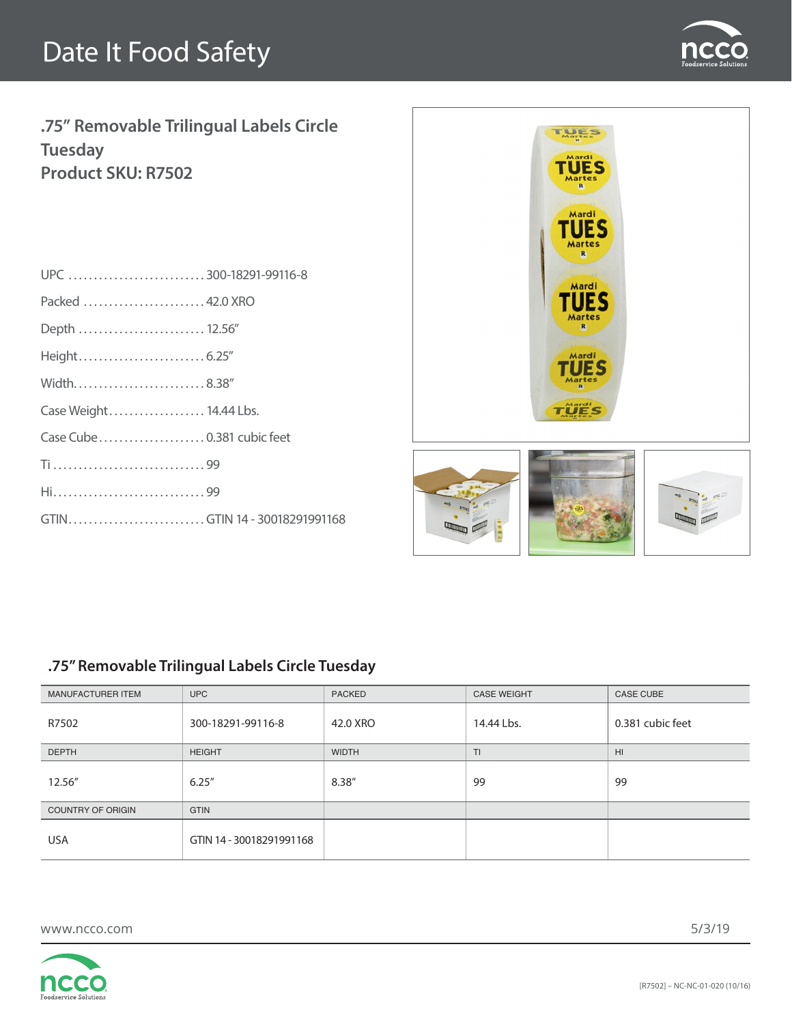

**.75" Removable Trilingual Labels Circle Tuesday Product SKU: R7502**

| UPC 300-18291-99116-8        |  |
|------------------------------|--|
| Packed  42.0 XRO             |  |
| Depth  12.56"                |  |
|                              |  |
| Width8.38"                   |  |
| Case Weight 14.44 Lbs.       |  |
| Case Cube  0.381 cubic feet  |  |
|                              |  |
|                              |  |
| GTINGTIN 14 - 30018291991168 |  |
|                              |  |



#### **.75" Removable Trilingual Labels Circle Tuesday**

| MANUFACTURER ITEM        | <b>UPC</b>               | <b>PACKED</b> | <b>CASE WEIGHT</b> | <b>CASE CUBE</b> |
|--------------------------|--------------------------|---------------|--------------------|------------------|
| R7502                    | 300-18291-99116-8        | 42.0 XRO      | 14.44 Lbs.         | 0.381 cubic feet |
| <b>DEPTH</b>             | <b>HEIGHT</b>            | <b>WIDTH</b>  | T <sub>1</sub>     | H <sub>II</sub>  |
| 12.56"                   | 6.25''                   | 8.38"         | 99                 | 99               |
| <b>COUNTRY OF ORIGIN</b> | <b>GTIN</b>              |               |                    |                  |
| <b>USA</b>               | GTIN 14 - 30018291991168 |               |                    |                  |

www.ncco.com

5/3/19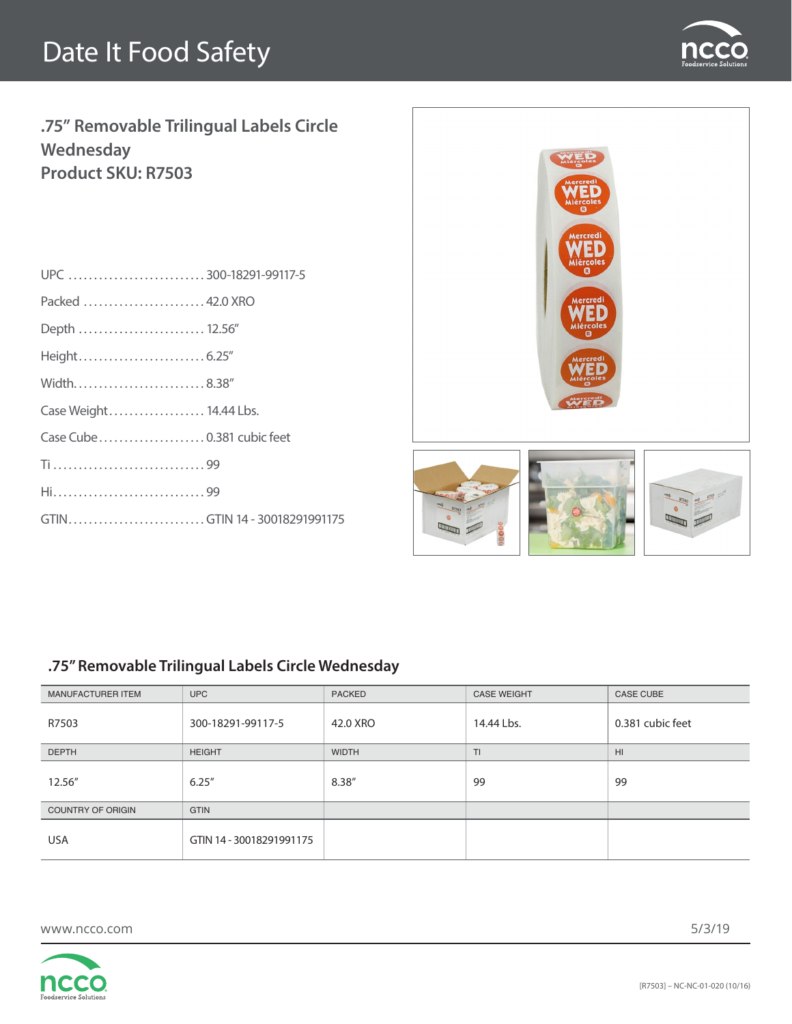

**.75" Removable Trilingual Labels Circle Wednesday Product SKU: R7503**

| UPC 300-18291-99117-5        |  |
|------------------------------|--|
| Packed  42.0 XRO             |  |
| Depth  12.56"                |  |
|                              |  |
| Width8.38"                   |  |
| Case Weight 14.44 Lbs.       |  |
|                              |  |
|                              |  |
|                              |  |
| GTINGTIN 14 - 30018291991175 |  |
|                              |  |



### **.75" Removable Trilingual Labels Circle Wednesday**

| <b>MANUFACTURER ITEM</b> | <b>UPC</b>               | <b>PACKED</b> | <b>CASE WEIGHT</b> | <b>CASE CUBE</b> |
|--------------------------|--------------------------|---------------|--------------------|------------------|
| R7503                    | 300-18291-99117-5        | 42.0 XRO      | 14.44 Lbs.         | 0.381 cubic feet |
| <b>DEPTH</b>             | <b>HEIGHT</b>            | <b>WIDTH</b>  | T <sub>1</sub>     | H <sub>II</sub>  |
| 12.56"                   | 6.25''                   | 8.38"         | 99                 | 99               |
| <b>COUNTRY OF ORIGIN</b> | <b>GTIN</b>              |               |                    |                  |
| <b>USA</b>               | GTIN 14 - 30018291991175 |               |                    |                  |

www.ncco.com

5/3/19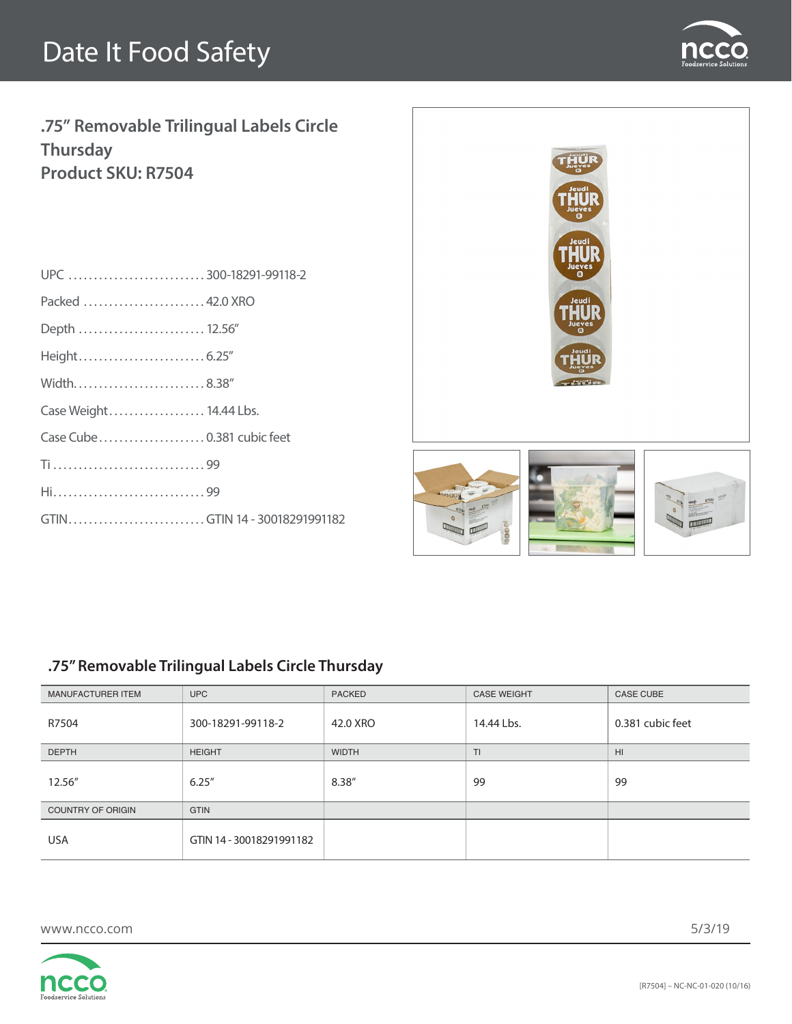

**.75" Removable Trilingual Labels Circle Thursday Product SKU: R7504**

| UPC 300-18291-99118-2        |  |
|------------------------------|--|
| Packed  42.0 XRO             |  |
| Depth  12.56"                |  |
|                              |  |
| Width8.38"                   |  |
| Case Weight 14.44 Lbs.       |  |
|                              |  |
|                              |  |
|                              |  |
| GTINGTIN 14 - 30018291991182 |  |
|                              |  |



### **.75" Removable Trilingual Labels Circle Thursday**

| <b>MANUFACTURER ITEM</b> | <b>UPC</b>               | <b>PACKED</b> | <b>CASE WEIGHT</b> | <b>CASE CUBE</b> |
|--------------------------|--------------------------|---------------|--------------------|------------------|
| R7504                    | 300-18291-99118-2        | 42.0 XRO      | 14.44 Lbs.         | 0.381 cubic feet |
| <b>DEPTH</b>             | <b>HEIGHT</b>            | <b>WIDTH</b>  | T <sub>1</sub>     | H <sub>II</sub>  |
| 12.56"                   | 6.25''                   | 8.38"         | 99                 | 99               |
| <b>COUNTRY OF ORIGIN</b> | <b>GTIN</b>              |               |                    |                  |
| <b>USA</b>               | GTIN 14 - 30018291991182 |               |                    |                  |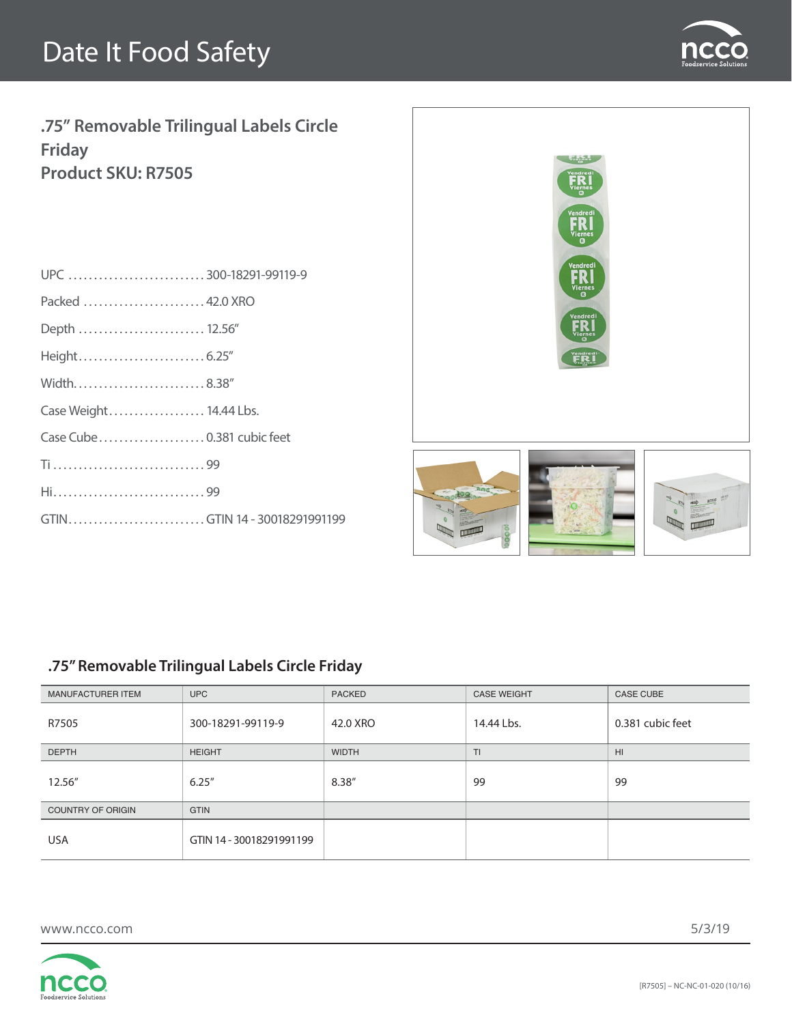

**.75" Removable Trilingual Labels Circle Friday Product SKU: R7505**

| UPC 300-18291-99119-9        |  |
|------------------------------|--|
| Packed  42.0 XRO             |  |
| Depth  12.56"                |  |
|                              |  |
| Width8.38"                   |  |
| Case Weight 14.44 Lbs.       |  |
| Case Cube  0.381 cubic feet  |  |
|                              |  |
|                              |  |
| GTINGTIN 14 - 30018291991199 |  |
|                              |  |



### **.75" Removable Trilingual Labels Circle Friday**

| MANUFACTURER ITEM        | <b>UPC</b>               | <b>PACKED</b> | <b>CASE WEIGHT</b> | <b>CASE CUBE</b> |
|--------------------------|--------------------------|---------------|--------------------|------------------|
| R7505                    | 300-18291-99119-9        | 42.0 XRO      | 14.44 Lbs.         | 0.381 cubic feet |
| <b>DEPTH</b>             | <b>HEIGHT</b>            | <b>WIDTH</b>  | T <sub>1</sub>     | H <sub>II</sub>  |
| 12.56"                   | 6.25''                   | 8.38"         | 99                 | 99               |
| <b>COUNTRY OF ORIGIN</b> | <b>GTIN</b>              |               |                    |                  |
| <b>USA</b>               | GTIN 14 - 30018291991199 |               |                    |                  |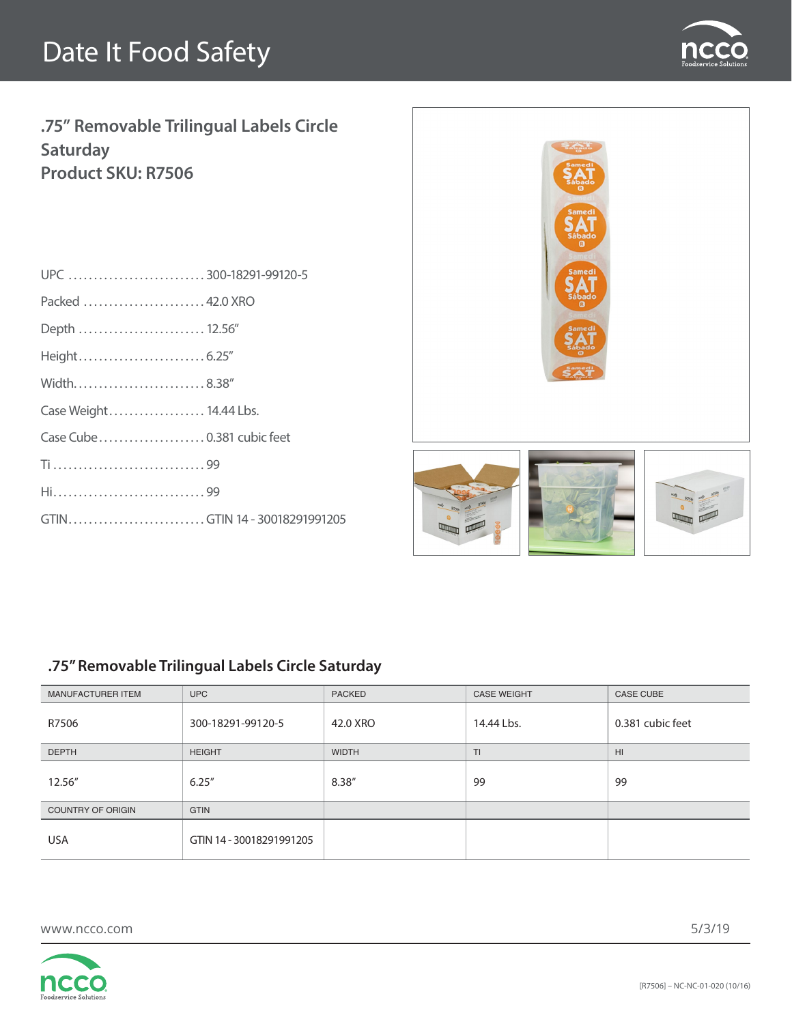

**.75" Removable Trilingual Labels Circle Saturday Product SKU: R7506**

| UPC300-18291-99120-5         |  |
|------------------------------|--|
| Packed  42.0 XRO             |  |
| Depth  12.56"                |  |
|                              |  |
| Width8.38"                   |  |
| Case Weight 14.44 Lbs.       |  |
|                              |  |
|                              |  |
| Hi99                         |  |
| GTINGTIN 14 - 30018291991205 |  |
|                              |  |



### **.75" Removable Trilingual Labels Circle Saturday**

| MANUFACTURER ITEM        | <b>UPC</b>               | <b>PACKED</b> | <b>CASE WEIGHT</b> | <b>CASE CUBE</b> |
|--------------------------|--------------------------|---------------|--------------------|------------------|
| R7506                    | 300-18291-99120-5        | 42.0 XRO      | 14.44 Lbs.         | 0.381 cubic feet |
| <b>DEPTH</b>             | <b>HEIGHT</b>            | <b>WIDTH</b>  | T <sub>1</sub>     | H <sub>II</sub>  |
| 12.56"                   | 6.25''                   | 8.38"         | 99                 | 99               |
| <b>COUNTRY OF ORIGIN</b> | <b>GTIN</b>              |               |                    |                  |
| <b>USA</b>               | GTIN 14 - 30018291991205 |               |                    |                  |